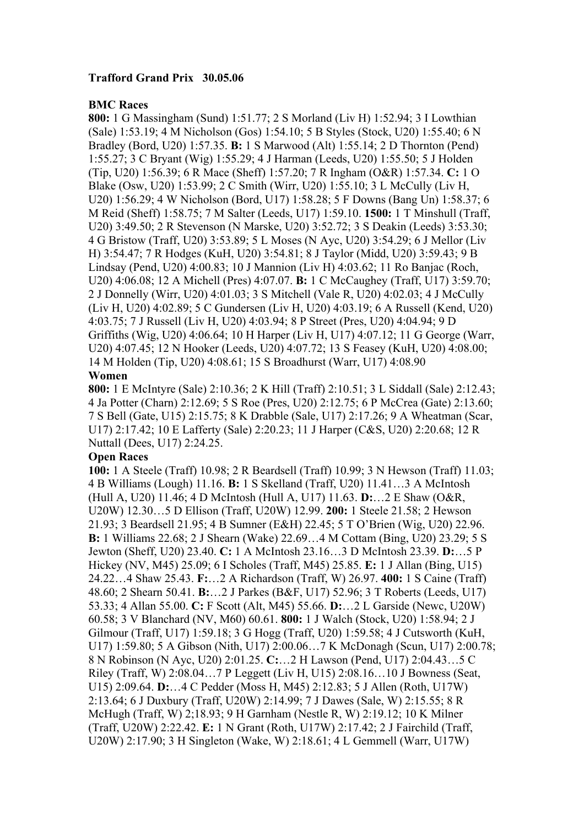## **Trafford Grand Prix 30.05.06**

## **BMC Races**

**800:** 1 G Massingham (Sund) 1:51.77; 2 S Morland (Liv H) 1:52.94; 3 I Lowthian (Sale) 1:53.19; 4 M Nicholson (Gos) 1:54.10; 5 B Styles (Stock, U20) 1:55.40; 6 N Bradley (Bord, U20) 1:57.35. **B:** 1 S Marwood (Alt) 1:55.14; 2 D Thornton (Pend) 1:55.27; 3 C Bryant (Wig) 1:55.29; 4 J Harman (Leeds, U20) 1:55.50; 5 J Holden (Tip, U20) 1:56.39; 6 R Mace (Sheff) 1:57.20; 7 R Ingham (O&R) 1:57.34. **C:** 1 O Blake (Osw, U20) 1:53.99; 2 C Smith (Wirr, U20) 1:55.10; 3 L McCully (Liv H, U20) 1:56.29; 4 W Nicholson (Bord, U17) 1:58.28; 5 F Downs (Bang Un) 1:58.37; 6 M Reid (Sheff) 1:58.75; 7 M Salter (Leeds, U17) 1:59.10. **1500:** 1 T Minshull (Traff, U20) 3:49.50; 2 R Stevenson (N Marske, U20) 3:52.72; 3 S Deakin (Leeds) 3:53.30; 4 G Bristow (Traff, U20) 3:53.89; 5 L Moses (N Ayc, U20) 3:54.29; 6 J Mellor (Liv H) 3:54.47; 7 R Hodges (KuH, U20) 3:54.81; 8 J Taylor (Midd, U20) 3:59.43; 9 B Lindsay (Pend, U20) 4:00.83; 10 J Mannion (Liv H) 4:03.62; 11 Ro Banjac (Roch, U20) 4:06.08; 12 A Michell (Pres) 4:07.07. **B:** 1 C McCaughey (Traff, U17) 3:59.70; 2 J Donnelly (Wirr, U20) 4:01.03; 3 S Mitchell (Vale R, U20) 4:02.03; 4 J McCully (Liv H, U20) 4:02.89; 5 C Gundersen (Liv H, U20) 4:03.19; 6 A Russell (Kend, U20) 4:03.75; 7 J Russell (Liv H, U20) 4:03.94; 8 P Street (Pres, U20) 4:04.94; 9 D Griffiths (Wig, U20) 4:06.64; 10 H Harper (Liv H, U17) 4:07.12; 11 G George (Warr, U20) 4:07.45; 12 N Hooker (Leeds, U20) 4:07.72; 13 S Feasey (KuH, U20) 4:08.00; 14 M Holden (Tip, U20) 4:08.61; 15 S Broadhurst (Warr, U17) 4:08.90

## **Women**

**800:** 1 E McIntyre (Sale) 2:10.36; 2 K Hill (Traff) 2:10.51; 3 L Siddall (Sale) 2:12.43; 4 Ja Potter (Charn) 2:12.69; 5 S Roe (Pres, U20) 2:12.75; 6 P McCrea (Gate) 2:13.60; 7 S Bell (Gate, U15) 2:15.75; 8 K Drabble (Sale, U17) 2:17.26; 9 A Wheatman (Scar, U17) 2:17.42; 10 E Lafferty (Sale) 2:20.23; 11 J Harper (C&S, U20) 2:20.68; 12 R Nuttall (Dees, U17) 2:24.25.

## **Open Races**

**100:** 1 A Steele (Traff) 10.98; 2 R Beardsell (Traff) 10.99; 3 N Hewson (Traff) 11.03; 4 B Williams (Lough) 11.16. **B:** 1 S Skelland (Traff, U20) 11.41…3 A McIntosh (Hull A, U20) 11.46; 4 D McIntosh (Hull A, U17) 11.63. **D:**…2 E Shaw (O&R, U20W) 12.30…5 D Ellison (Traff, U20W) 12.99. **200:** 1 Steele 21.58; 2 Hewson 21.93; 3 Beardsell 21.95; 4 B Sumner (E&H) 22.45; 5 T O'Brien (Wig, U20) 22.96. **B:** 1 Williams 22.68; 2 J Shearn (Wake) 22.69…4 M Cottam (Bing, U20) 23.29; 5 S Jewton (Sheff, U20) 23.40. **C:** 1 A McIntosh 23.16…3 D McIntosh 23.39. **D:**…5 P Hickey (NV, M45) 25.09; 6 I Scholes (Traff, M45) 25.85. **E:** 1 J Allan (Bing, U15) 24.22…4 Shaw 25.43. **F:**…2 A Richardson (Traff, W) 26.97. **400:** 1 S Caine (Traff) 48.60; 2 Shearn 50.41. **B:**…2 J Parkes (B&F, U17) 52.96; 3 T Roberts (Leeds, U17) 53.33; 4 Allan 55.00. **C:** F Scott (Alt, M45) 55.66. **D:**…2 L Garside (Newc, U20W) 60.58; 3 V Blanchard (NV, M60) 60.61. **800:** 1 J Walch (Stock, U20) 1:58.94; 2 J Gilmour (Traff, U17) 1:59.18; 3 G Hogg (Traff, U20) 1:59.58; 4 J Cutsworth (KuH, U17) 1:59.80; 5 A Gibson (Nith, U17) 2:00.06…7 K McDonagh (Scun, U17) 2:00.78; 8 N Robinson (N Ayc, U20) 2:01.25. **C:**…2 H Lawson (Pend, U17) 2:04.43…5 C Riley (Traff, W) 2:08.04…7 P Leggett (Liv H, U15) 2:08.16…10 J Bowness (Seat, U15) 2:09.64. **D:**…4 C Pedder (Moss H, M45) 2:12.83; 5 J Allen (Roth, U17W) 2:13.64; 6 J Duxbury (Traff, U20W) 2:14.99; 7 J Dawes (Sale, W) 2:15.55; 8 R McHugh (Traff, W) 2;18.93; 9 H Garnham (Nestle R, W) 2:19.12; 10 K Milner (Traff, U20W) 2:22.42. **E:** 1 N Grant (Roth, U17W) 2:17.42; 2 J Fairchild (Traff, U20W) 2:17.90; 3 H Singleton (Wake, W) 2:18.61; 4 L Gemmell (Warr, U17W)